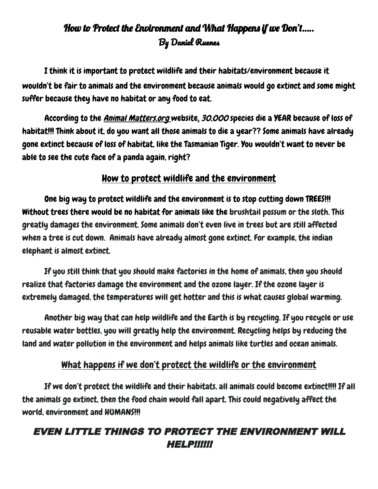## How to Protect the Environment and What Happens if we Don't….. By Daniel Ruenes

I think it is important to protect wildlife and their habitats/environment because it wouldn't be fair to animals and the environment because animals would go extinct and some might suffer because they have no habitat or any food to eat.

According to the *Animal Matters.org* website, 30,000 species die a YEAR because of loss of habitat!!! Think about it, do you want all those animals to die a year?? Some animals have already gone extinct because of loss of habitat, like the Tasmanian Tiger. You wouldn't want to never be able to see the cute face of a panda again, right?

## How to protect wildlife and the environment

One big way to protect wildlife and the environment is to stop cutting down TREES!!! Without trees there would be no habitat for animals like the brushtail possum or the sloth. This greatly damages the environment. Some animals don't even live in trees but are still affected when a tree is cut down. Animals have already almost gone extinct. For example, the indian elephant is almost extinct.

If you still think that you should make factories in the home of animals, then you should realize that factories damage the environment and the ozone layer. If the ozone layer is extremely damaged, the temperatures will get hotter and this is what causes global warming.

Another big way that can help wildlife and the Earth is by recycling. If you recycle or use reusable water bottles, you will greatly help the environment. Recycling helps by reducing the land and water pollution in the environment and helps animals like turtles and ocean animals.

## What happens if we don't protect the wildlife or the environment

If we don't protect the wildlife and their habitats, all animals could become extinct!!!! If all the animals go extinct, then the food chain would fall apart. This could negatively affect the world, environment and HUMANS!!!

## EVEN LITTLE THINGS TO PROTECT THE ENVIRONMENT WILL HELP!!!!!!